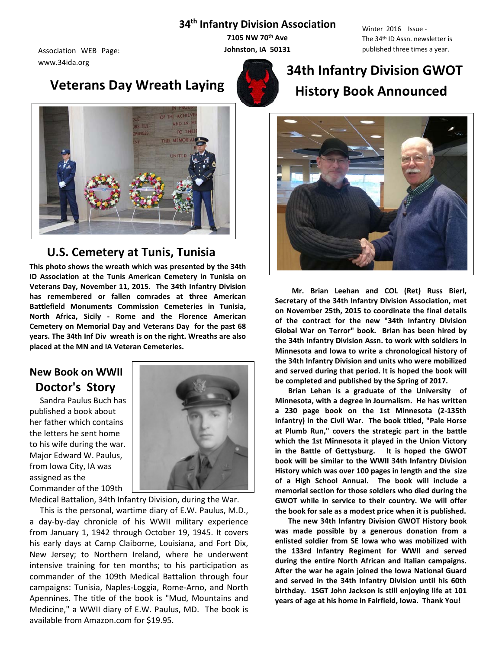### **34th Infantry Division Association**

www.34ida.org

# **Veterans Day Wreath Laying**



Winter 2016 Issue - The 34th ID Assn. newsletter is Association WEB Page: **published three times a year. Johnston, IA 50131** published three times a year.



# THE ACHIEV ND IN F TO THE **MEMORIA**

## **U.S. Cemetery at Tunis, Tunisia**

**This photo shows the wreath which was presented by the 34th ID Association at the Tunis American Cemetery in Tunisia on Veterans Day, November 11, 2015. The 34th Infantry Division has remembered or fallen comrades at three American Battlefield Monuments Commission Cemeteries in Tunisia, North Africa, Sicily - Rome and the Florence American Cemetery on Memorial Day and Veterans Day for the past 68 years. The 34th Inf Div wreath is on the right. Wreaths are also placed at the MN and IA Veteran Cemeteries.**

# **New Book on WWII Doctor's Story**

 Sandra Paulus Buch has published a book about her father which contains the letters he sent home to his wife during the war. Major Edward W. Paulus, from Iowa City, IA was assigned as the Commander of the 109th



Medical Battalion, 34th Infantry Division, during the War.

 This is the personal, wartime diary of E.W. Paulus, M.D., a day-by-day chronicle of his WWII military experience from January 1, 1942 through October 19, 1945. It covers his early days at Camp Claiborne, Louisiana, and Fort Dix, New Jersey; to Northern Ireland, where he underwent intensive training for ten months; to his participation as commander of the 109th Medical Battalion through four campaigns: Tunisia, Naples-Loggia, Rome-Arno, and North Apennines. The title of the book is "Mud, Mountains and Medicine," a WWII diary of E.W. Paulus, MD. The book is available from Amazon.com for \$19.95.

# **34th Infantry Division GWOT History Book Announced**



 **Mr. Brian Leehan and COL (Ret) Russ Bierl, Secretary of the 34th Infantry Division Association, met on November 25th, 2015 to coordinate the final details of the contract for the new "34th Infantry Division Global War on Terror" book. Brian has been hired by the 34th Infantry Division Assn. to work with soldiers in Minnesota and Iowa to write a chronological history of the 34th Infantry Division and units who were mobilized and served during that period. It is hoped the book will be completed and published by the Spring of 2017.** 

 **Brian Lehan is a graduate of the University of Minnesota, with a degree in Journalism. He has written a 230 page book on the 1st Minnesota (2-135th Infantry) in the Civil War. The book titled, "Pale Horse at Plumb Run," covers the strategic part in the battle which the 1st Minnesota it played in the Union Victory in the Battle of Gettysburg. It is hoped the GWOT book will be similar to the WWII 34th Infantry Division History which was over 100 pages in length and the size of a High School Annual. The book will include a memorial section for those soldiers who died during the GWOT while in service to their country. We will offer the book for sale as a modest price when it is published.** 

 **The new 34th Infantry Division GWOT History book was made possible by a generous donation from a enlisted soldier from SE Iowa who was mobilized with the 133rd Infantry Regiment for WWII and served during the entire North African and Italian campaigns. After the war he again joined the Iowa National Guard and served in the 34th Infantry Division until his 60th birthday. 1SGT John Jackson is still enjoying life at 101 years of age at his home in Fairfield, Iowa. Thank You!**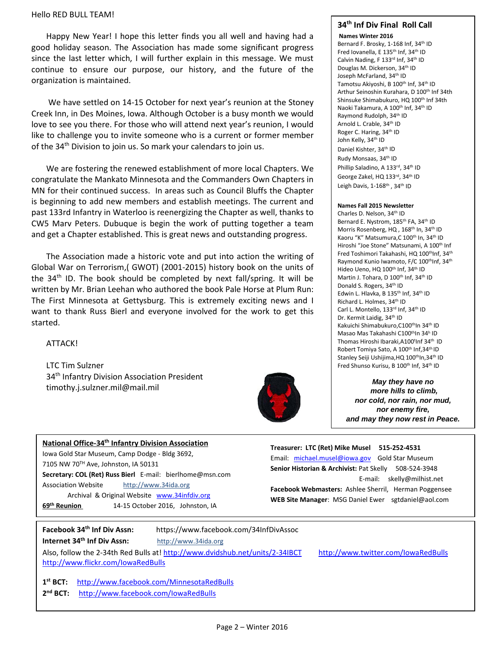#### Hello RED BULL TEAM!

 continue to ensure our purpose, our history, and the future of the Happy New Year! I hope this letter finds you all well and having had a good holiday season. The Association has made some significant progress since the last letter which, I will further explain in this message. We must organization is maintained.

We have settled on 14-15 October for next year's reunion at the Stoney Creek Inn, in Des Moines, Iowa. Although October is a busy month we would love to see you there. For those who will attend next year's reunion, I would like to challenge you to invite someone who is a current or former member of the 34th Division to join us. So mark your calendars to join us.

 and get a Chapter established. This is great news and outstanding progress. We are fostering the renewed establishment of more local Chapters. We congratulate the Mankato Minnesota and the Commanders Own Chapters in MN for their continued success. In areas such as Council Bluffs the Chapter is beginning to add new members and establish meetings. The current and past 133rd Infantry in Waterloo is reenergizing the Chapter as well, thanks to CW5 Marv Peters. Dubuque is begin the work of putting together a team

The Association made a historic vote and put into action the writing of Global War on Terrorism,( GWOT) (2001-2015) history book on the units of the  $34<sup>th</sup>$  ID. The book should be completed by next fall/spring. It will be written by Mr. Brian Leehan who authored the book Pale Horse at Plum Run: The First Minnesota at Gettysburg. This is extremely exciting news and I want to thank Russ Bierl and everyone involved for the work to get this started.

#### ATTACK!

LTC Tim Sulzner 34<sup>th</sup> Infantry Division Association President timothy.j.sulzner.mil@mail.mil



#### **34th Inf Div Final Roll Call**

**Names Winter 2016**  Bernard F. Brosky, 1-168 Inf, 34th ID Fred Iovanella, E 135<sup>th</sup> Inf, 34<sup>th</sup> ID Calvin Nading, F 133rd Inf, 34th ID Douglas M. Dickerson, 34<sup>th</sup> ID Joseph McFarland, 34<sup>th</sup> ID Tamotsu Akiyoshi, B 100<sup>th</sup> Inf, 34<sup>th</sup> ID Arthur Seinoshin Kurahara, D 100<sup>th</sup> Inf 34th Shinsuke Shimabukuro, HQ 100<sup>th</sup> Inf 34th Naoki Takamura, A 100<sup>th</sup> Inf, 34<sup>th</sup> ID Raymond Rudolph, 34th ID Arnold L. Crable, 34<sup>th</sup> ID Roger C. Haring, 34th ID John Kelly, 34th ID Daniel Kishter, 34<sup>th</sup> ID Rudy Monsaas, 34th ID Phillip Saladino, A 133rd, 34th ID George Zakel, HQ 133rd, 34th ID Leigh Davis, 1-168<sup>th</sup>, 34<sup>th</sup> ID

#### **Names Fall 2015 Newsletter**

Charles D. Nelson, 34th ID Bernard E. Nystrom, 185<sup>th</sup> FA, 34<sup>th</sup> ID Morris Rosenberg, HQ, 168<sup>th</sup> In, 34<sup>th</sup> ID Kaoru "K" Matsumura, C 100<sup>th</sup> In, 34<sup>th</sup> ID Hiroshi "Joe Stone" Matsunami, A 100<sup>th</sup> Inf Fred Toshimori Takahashi, HQ 100thInf, 34th Raymond Kunio Iwamoto, F/C 100<sup>th</sup>Inf, 34<sup>th</sup> Hideo Ueno, HQ 100<sup>th</sup> Inf, 34<sup>th</sup> ID Martin J. Tohara, D 100<sup>th</sup> Inf, 34<sup>th</sup> ID Donald S. Rogers, 34th ID Edwin L. Hlavka, B 135<sup>th</sup> Inf, 34<sup>th</sup> ID Richard L. Holmes, 34th ID Carl L. Montello, 133rd Inf, 34th ID Dr. Kermit Laidig, 34<sup>th</sup> ID Kakuichi Shimabukuro, C100<sup>th</sup>In 34<sup>th</sup> ID Masao Mas Takahashi C100thIn 34h ID Thomas Hiroshi Ibaraki, A100<sup>t</sup>Inf 34<sup>th</sup> ID Robert Tomiya Sato, A 100<sup>th</sup> Inf, 34<sup>th</sup> ID Stanley Seiji Ushijima, HO 100<sup>th</sup>In, 34<sup>th</sup> ID Fred Shunso Kurisu, B 100<sup>th</sup> Inf, 34<sup>th</sup> ID

*May they have no more hills to climb, nor cold, nor rain, nor mud, nor enemy fire, and may they now rest in Peace.*

| National Office-34 <sup>th</sup> Infantry Division Association |  |  |  |
|----------------------------------------------------------------|--|--|--|
| Jowa Gold Star Museum, Camp Dodge - Bldg 3692,                 |  |  |  |
| 7105 NW 70TH Ave, Johnston, IA 50131                           |  |  |  |
| Secretary: COL (Ret) Russ Bierl E-mail: bierlhome@msn.com      |  |  |  |
| http://www.34ida.org<br><b>Association Website</b>             |  |  |  |
| Archival & Original Website www.34infdiv.org                   |  |  |  |
| 69 <sup>th</sup> Reunion<br>14-15 October 2016, Johnston, IA   |  |  |  |
|                                                                |  |  |  |

**Treasurer: LTC (Ret) Mike Musel 515-252-4531**  Email: [michael.musel@iowa.gov](mailto:michael.musel@iowa.gov) Gold Star Museum **Senior Historian & Archivist:** Pat Skelly508-524-3948 E-mail: skelly@milhist.net **Facebook Webmasters:** Ashlee Sherril, Herman Poggensee **WEB Site Manager**: MSG Daniel Ewer sgtdaniel@aol.com

**Facebook 34th Inf Div Assn:** https://www.facebook.com/34InfDivAssoc

**Internet 34th Inf Div Assn:** http://www.34ida.org

Also, follow the 2-34th Red Bulls at[! http://www.dvidshub.net/units/2-34IBCT](http://www.dvidshub.net/units/2-34IBCT) http://www.twitter.com/IowaRedBulls <http://www.flickr.com/IowaRedBulls>

**1st BCT:** <http://www.facebook.com/MinnesotaRedBulls> **2nd BCT:** <http://www.facebook.com/IowaRedBulls>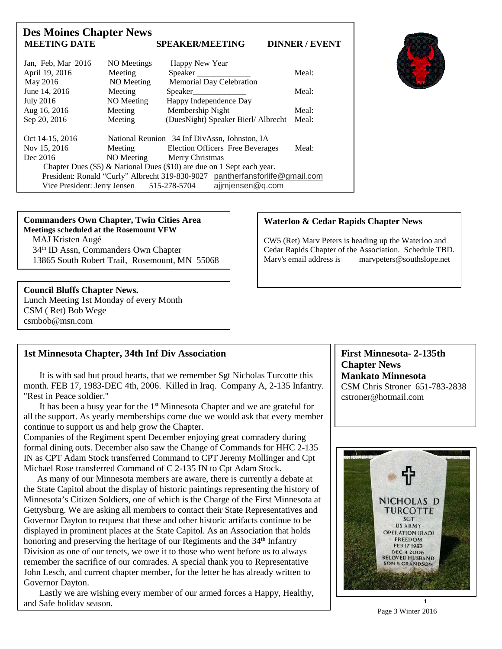| <b>Des Moines Chapter News</b><br><b>MEETING DATE</b> |             | <b>SPEAKER/MEETING</b>                                                       | <b>DINNER / EVENT</b> |
|-------------------------------------------------------|-------------|------------------------------------------------------------------------------|-----------------------|
| Jan, Feb, Mar 2016                                    | NO Meetings | Happy New Year                                                               |                       |
| April 19, 2016                                        | Meeting     | Speaker                                                                      | Meal:                 |
| May 2016                                              | NO Meeting  | <b>Memorial Day Celebration</b>                                              |                       |
| June 14, 2016                                         | Meeting     | Speaker                                                                      | Meal:                 |
| <b>July 2016</b>                                      | NO Meeting  | Happy Independence Day                                                       |                       |
| Aug 16, 2016                                          | Meeting     | Membership Night                                                             | Meal:                 |
| Sep 20, 2016                                          | Meeting     | (DuesNight) Speaker Bierl/Albrecht                                           | Meal:                 |
| Oct 14-15, 2016                                       |             | National Reunion 34 Inf DivAssn, Johnston, IA                                |                       |
| Nov 15, 2016                                          | Meeting     | <b>Election Officers Free Beverages</b>                                      | Meal:                 |
| Dec 2016                                              |             | NO Meeting Merry Christmas                                                   |                       |
|                                                       |             | Chapter Dues (\$5) & National Dues (\$10) are due on 1 Sept each year.       |                       |
|                                                       |             | President: Ronald "Curly" Albrecht 319-830-9027 pantherfansforlife@gmail.com |                       |
| Vice President: Jerry Jensen                          |             | ajjmjensen@q.com<br>515-278-5704                                             |                       |

**Commanders Own Chapter, Twin Cities Area Meetings scheduled at the Rosemount VFW** MAJ Kristen Augé 34th ID Assn, Commanders Own Chapter 13865 South Robert Trail, Rosemount, MN 55068

#### **Council Bluffs Chapter News.**

j

Lunch Meeting 1st Monday of every Month CSM ( Ret) Bob Wege csmbob@msn.com

#### **Waterloo & Cedar Rapids Chapter News**

CW5 (Ret) Marv Peters is heading up the Waterloo and Cedar Rapids Chapter of the Association. Schedule TBD.<br>Mary's email address is marypeters@southslope.net  $m$ arv $p$ eters@southslope.net

#### **1st Minnesota Chapter, 34th Inf Div Association**

 It is with sad but proud hearts, that we remember Sgt Nicholas Turcotte this month. FEB 17, 1983-DEC 4th, 2006. Killed in Iraq. Company A, 2-135 Infantry. "Rest in Peace soldier."

 It has been a busy year for the 1st Minnesota Chapter and we are grateful for all the support. As yearly memberships come due we would ask that every member continue to support us and help grow the Chapter.

Companies of the Regiment spent December enjoying great comradery during formal dining outs. December also saw the Change of Commands for HHC 2-135 IN as CPT Adam Stock transferred Command to CPT Jeremy Mollinger and Cpt Michael Rose transferred Command of C 2-135 IN to Cpt Adam Stock.

 As many of our Minnesota members are aware, there is currently a debate at the State Capitol about the display of historic paintings representing the history of Minnesota's Citizen Soldiers, one of which is the Charge of the First Minnesota at Gettysburg. We are asking all members to contact their State Representatives and Governor Dayton to request that these and other historic artifacts continue to be displayed in prominent places at the State Capitol. As an Association that holds honoring and preserving the heritage of our Regiments and the 34<sup>th</sup> Infantry Division as one of our tenets, we owe it to those who went before us to always remember the sacrifice of our comrades. A special thank you to Representative John Lesch, and current chapter member, for the letter he has already written to Governor Dayton.

 Lastly we are wishing every member of our armed forces a Happy, Healthy, and Safe holiday season.

**First Minnesota- 2-135th Chapter News Mankato Minnesota** CSM Chris Stroner 651-783-2838 cstroner@hotmail.com



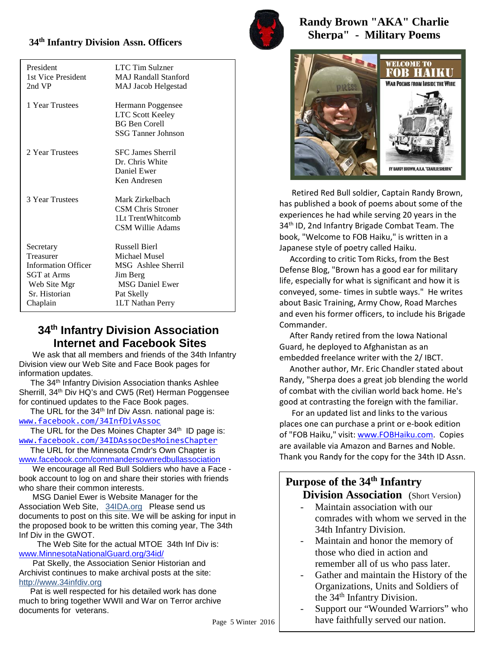# s **34th Infantry Division Assn. Officers**

| LTC Tim Sulzner             |
|-----------------------------|
| <b>MAJ Randall Stanford</b> |
| MAJ Jacob Helgestad         |
|                             |
| Hermann Poggensee           |
| <b>LTC Scott Keeley</b>     |
| <b>BG</b> Ben Corell        |
| <b>SSG Tanner Johnson</b>   |
| <b>SFC James Sherril</b>    |
| Dr. Chris White             |
| Daniel Ewer                 |
| Ken Andresen                |
|                             |
| Mark Zirkelbach             |
| <b>CSM Chris Stroner</b>    |
| 1Lt TrentWhitcomb           |
| CSM Willie Adams            |
| <b>Russell Bierl</b>        |
| Michael Musel               |
| MSG Ashlee Sherril          |
| Jim Berg                    |
| <b>MSG Daniel Ewer</b>      |
| Pat Skelly                  |
| 1LT Nathan Perry            |
|                             |

## **34th Infantry Division Association Internet and Facebook Sites**

 We ask that all members and friends of the 34th Infantry Division view our Web Site and Face Book pages for information updates.

 The 34th Infantry Division Association thanks Ashlee Sherrill, 34<sup>th</sup> Div HQ's and CW5 (Ret) Herman Poggensee for continued updates to the Face Book pages.

The URL for the  $34<sup>th</sup>$  Inf Div Assn. national page is: [www.facebook.com/34InfDivAssoc](http://www.facebook.com/34InfDivAssoc)

The URL for the Des Moines Chapter 34<sup>th</sup> ID page is: [www.facebook.com/34IDAssocDesMoinesChapter](http://www.facebook.com/34IDAssocDesMoinesChapter)

 The URL for the Minnesota Cmdr's Own Chapter is [www.facebook.com/commandersownredbullassociation](http://www.facebook.com/commandersownredbullassociation)

 We encourage all Red Bull Soldiers who have a Face book account to log on and share their stories with friends who share their common interests.

 MSG Daniel Ewer is Website Manager for the Association Web Site, 34IDA.org Please send us documents to post on this site. We will be asking for input in the proposed book to be written this coming year, The 34th Inf Div in the GWOT.

 The Web Site for the actual MTOE 34th Inf Div is: [www.MinnesotaNationalGuard.org/34id/](http://www.minnesotanationalguard.org/34id/)

 Pat Skelly, the Association Senior Historian and Archivist continues to make archival posts at the site: http://www.34infdiv.org

 Pat is well respected for his detailed work has done much to bring together WWII and War on Terror archive documents for veterans.



**Randy Brown "AKA" Charlie Sherpa" - Military Poems**



 Retired Red Bull soldier, Captain Randy Brown, has published a book of poems about some of the experiences he had while serving 20 years in the 34<sup>th</sup> ID, 2nd Infantry Brigade Combat Team. The book, "Welcome to FOB Haiku," is written in a Japanese style of poetry called Haiku.

 According to critic Tom Ricks, from the Best Defense Blog, "Brown has a good ear for military life, especially for what is significant and how it is conveyed, some- times in subtle ways." He writes about Basic Training, Army Chow, Road Marches and even his former officers, to include his Brigade Commander.

 After Randy retired from the Iowa National Guard, he deployed to Afghanistan as an embedded freelance writer with the 2/ IBCT.

 Another author, Mr. Eric Chandler stated about Randy, "Sherpa does a great job blending the world of combat with the civilian world back home. He's good at contrasting the foreign with the familiar.

 For an updated list and links to the various places one can purchase a print or e-book edition of "FOB Haiku," visit: [www.FOBHaiku.com.](http://www.fobhaiku.com/) Copies are available via Amazon and Barnes and Noble. Thank you Randy for the copy for the 34th ID Assn.

# **Purpose of the 34th Infantry**

**Division Association** (Short Version)

- Maintain association with our comrades with whom we served in the 34th Infantry Division.
- Maintain and honor the memory of those who died in action and remember all of us who pass later.
- Gather and maintain the History of the Organizations, Units and Soldiers of the 34<sup>th</sup> Infantry Division.
- Support our "Wounded Warriors" who have faithfully served our nation.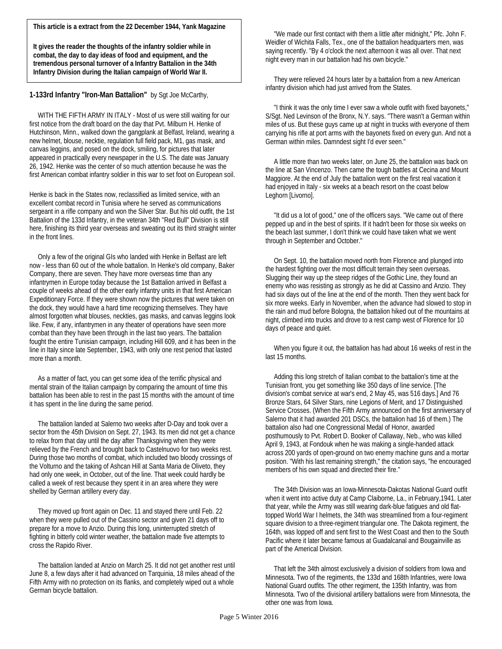**This article is a extract from the 22 December 1944, Yank Magazine**

**It gives the reader the thoughts of the infantry soldier while in combat, the day to day ideas of food and equipment, and the tremendous personal turnover of a Infantry Battalion in the 34th Infantry Division during the Italian campaign of World War II.**

**1-133rd Infantry "Iron-Man Battalion"** by Sgt Joe McCarthy,

 WITH THE FIFTH ARMY IN ITALY - Most of us were still waiting for our first notice from the draft board on the day that Pvt. Milburn H. Henke of Hutchinson, Minn., walked down the gangplank at Belfast, Ireland, wearing a new helmet, blouse, necktie, regulation full field pack, M1, gas mask, and canvas leggins, and posed on the dock, smiling, for pictures that later appeared in practically every newspaper in the U.S. The date was January 26, 1942. Henke was the center of so much attention because he was the first American combat infantry soldier in this war to set foot on European soil.

Henke is back in the States now, reclassified as limited service, with an excellent combat record in Tunisia where he served as communications sergeant in a rifle company and won the Silver Star. But his old outfit, the 1st Battalion of the 133d Infantry, in the veteran 34th "Red Bull" Division is still here, finishing its third year overseas and sweating out its third straight winter in the front lines.

 Only a few of the original GIs who landed with Henke in Belfast are left now - less than 60 out of the whole battalion. In Henke's old company, Baker Company, there are seven. They have more overseas time than any infantrymen in Europe today because the 1st Battalion arrived in Belfast a couple of weeks ahead of the other early infantry units in that first American Expeditionary Force. If they were shown now the pictures that were taken on the dock, they would have a hard time recognizing themselves. They have almost forgotten what blouses, neckties, gas masks, and canvas leggins look like. Few, if any, infantrymen in any theater of operations have seen more combat than they have been through in the last two years. The battalion fought the entire Tunisian campaign, including Hill 609, and it has been in the line in Italy since late September, 1943, with only one rest period that lasted more than a month.

 As a matter of fact, you can get some idea of the terrific physical and mental strain of the Italian campaign by comparing the amount of time this battalion has been able to rest in the past 15 months with the amount of time it has spent in the line during the same period.

 The battalion landed at Salerno two weeks after D-Day and took over a sector from the 45th Division on Sept. 27, 1943. Its men did not get a chance to relax from that day until the day after Thanksgiving when they were relieved by the French and brought back to Castelnuovo for two weeks rest. During those two months of combat, which included two bloody crossings of the Volturno and the taking of Ashcan Hill at Santa Maria de Oliveto, they had only one week, in October, out of the line. That week could hardly be called a week of rest because they spent it in an area where they were shelled by German artillery every day.

 They moved up front again on Dec. 11 and stayed there until Feb. 22 when they were pulled out of the Cassino sector and given 21 days off to prepare for a move to Anzio. During this long, uninterrupted stretch of fighting in bitterly cold winter weather, the battalion made five attempts to cross the Rapido River.

 The battalion landed at Anzio on March 25. It did not get another rest until June 8, a few days after it had advanced on Tarquinia, 18 miles ahead of the Fifth Army with no protection on its flanks, and completely wiped out a whole German bicycle battalion.

 "We made our first contact with them a little after midnight," Pfc. John F. Weidler of Wichita Falls, Tex., one of the battalion headquarters men, was saying recently. "By 4 o'clock the next afternoon it was all over. That next night every man in our battalion had his own bicycle."

 They were relieved 24 hours later by a battalion from a new American infantry division which had just arrived from the States.

 "I think it was the only time I ever saw a whole outfit with fixed bayonets," S/Sgt. Ned Levinson of the Bronx, N.Y. says. "There wasn't a German within miles of us. But these guys came up at night in trucks with everyone of them carrying his rifle at port arms with the bayonets fixed on every gun. And not a German within miles. Damndest sight I'd ever seen."

 A little more than two weeks later, on June 25, the battalion was back on the line at San Vincenzo. Then came the tough battles at Cecina and Mount Maggiore. At the end of July the battalion went on the first real vacation it had enjoyed in Italy - six weeks at a beach resort on the coast below Leghorn [Livorno].

 "It did us a lot of good," one of the officers says. "We came out of there pepped up and in the best of spirits. If it hadn't been for those six weeks on the beach last summer, I don't think we could have taken what we went through in September and October."

 On Sept. 10, the battalion moved north from Florence and plunged into the hardest fighting over the most difficult terrain they seen overseas. Slugging their way up the steep ridges of the Gothic Line, they found an enemy who was resisting as strongly as he did at Cassino and Anzio. They had six days out of the line at the end of the month. Then they went back for six more weeks. Early in November, when the advance had slowed to stop in the rain and mud before Bologna, the battalion hiked out of the mountains at night, climbed into trucks and drove to a rest camp west of Florence for 10 days of peace and quiet.

 When you figure it out, the battalion has had about 16 weeks of rest in the last 15 months.

 Adding this long stretch of Italian combat to the battalion's time at the Tunisian front, you get something like 350 days of line service. [The division's combat service at war's end, 2 May 45, was 516 days.] And 76 Bronze Stars, 64 Silver Stars, nine Legions of Merit, and 17 Distinguished Service Crosses. (When the Fifth Army announced on the first anniversary of Salerno that it had awarded 201 DSCs, the battalion had 16 of them.) The battalion also had one Congressional Medal of Honor, awarded posthumously to Pvt. Robert D. Booker of Callaway, Neb., who was killed April 9, 1943, at Fondouk when he was making a single-handed attack across 200 yards of open-ground on two enemy machine guns and a mortar position. "With his last remaining strength," the citation says, "he encouraged members of his own squad and directed their fire."

 The 34th Division was an Iowa-Minnesota-Dakotas National Guard outfit when it went into active duty at Camp Claiborne, La., in February,1941. Later that year, while the Army was still wearing dark-blue fatigues and old flattopped World War I helmets, the 34th was streamlined from a four-regiment square division to a three-regiment triangular one. The Dakota regiment, the 164th, was lopped off and sent first to the West Coast and then to the South Pacific where it later became famous at Guadalcanal and Bougainville as part of the Americal Division.

 That left the 34th almost exclusively a division of soldiers from Iowa and Minnesota. Two of the regiments, the 133d and 168th Infantries, were Iowa National Guard outfits. The other regiment, the 135th Infantry, was from Minnesota. Two of the divisional artillery battalions were from Minnesota, the other one was from Iowa.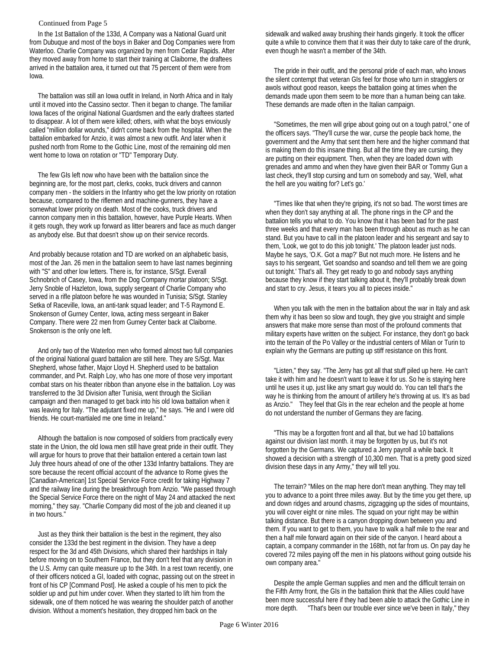#### Continued from Page 5

 In the 1st Battalion of the 133d, A Company was a National Guard unit from Dubuque and most of the boys in Baker and Dog Companies were from Waterloo. Charlie Company was organized by men from Cedar Rapids. After they moved away from home to start their training at Claiborne, the draftees arrived in the battalion area, it turned out that 75 percent of them were from Iowa.

 The battalion was still an Iowa outfit in Ireland, in North Africa and in Italy until it moved into the Cassino sector. Then it began to change. The familiar Iowa faces of the original National Guardsmen and the early draftees started to disappear. A lot of them were killed; others, with what the boys enviously called "million dollar wounds," didn't come back from the hospital. When the battalion embarked for Anzio, it was almost a new outfit. And later when it pushed north from Rome to the Gothic Line, most of the remaining old men went home to Iowa on rotation or "TD" Temporary Duty.

 The few GIs left now who have been with the battalion since the beginning are, for the most part, clerks, cooks, truck drivers and cannon company men - the soldiers in the Infantry who get the low priority on rotation because, compared to the riflemen and machine-gunners, they have a somewhat lower priority on death. Most of the cooks, truck drivers and cannon company men in this battalion, however, have Purple Hearts. When it gets rough, they work up forward as litter bearers and face as much danger as anybody else. But that doesn't show up on their service records.

And probably because rotation and TD are worked on an alphabetic basis, most of the Jan. 26 men in the battalion seem to have last names beginning with "S" and other low letters. There is, for instance, S/Sgt. Everall Schnobrich of Casey, Iowa, from the Dog Company mortar platoon; S/Sgt. Jerry Snoble of Hazleton, Iowa, supply sergeant of Charlie Company who served in a rifle platoon before he was wounded in Tunisia; S/Sgt. Stanley Setka of Raceville, Iowa, an anti-tank squad leader; and T-5 Raymond E. Snokenson of Gurney Center, Iowa, acting mess sergeant in Baker Company. There were 22 men from Gurney Center back at Claiborne. Snokenson is the only one left.

 And only two of the Waterloo men who formed almost two full companies of the original National guard battalion are still here. They are S/Sgt. Max Shepherd, whose father, Major Lloyd H. Shepherd used to be battalion commander, and Pvt. Ralph Loy, who has one more of those very important combat stars on his theater ribbon than anyone else in the battalion. Loy was transferred to the 3d Division after Tunisia, went through the Sicilian campaign and then managed to get back into his old Iowa battalion when it was leaving for Italy. "The adjutant fixed me up," he says. "He and I were old friends. He court-martialed me one time in Ireland."

 Although the battalion is now composed of soldiers from practically every state in the Union, the old Iowa men still have great pride in their outfit. They will argue for hours to prove that their battalion entered a certain town last July three hours ahead of one of the other 133d Infantry battalions. They are sore because the recent official account of the advance to Rome gives the [Canadian-American] 1st Special Service Force credit for taking Highway 7 and the railway line during the breakthrough from Anzio. "We passed through the Special Service Force there on the night of May 24 and attacked the next morning," they say. "Charlie Company did most of the job and cleaned it up in two hours."

 Just as they think their battalion is the best in the regiment, they also consider the 133d the best regiment in the division. They have a deep respect for the 3d and 45th Divisions, which shared their hardships in Italy before moving on to Southern France, but they don't feel that any division in the U.S. Army can quite measure up to the 34th. In a rest town recently, one of their officers noticed a GI, loaded with cognac, passing out on the street in front of his CP [Command Post]. He asked a couple of his men to pick the soldier up and put him under cover. When they started to lift him from the sidewalk, one of them noticed he was wearing the shoulder patch of another division. Without a moment's hesitation, they dropped him back on the

sidewalk and walked away brushing their hands gingerly. It took the officer quite a while to convince them that it was their duty to take care of the drunk, even though he wasn't a member of the 34th.

 The pride in their outfit, and the personal pride of each man, who knows the silent contempt that veteran GIs feel for those who turn in stragglers or awols without good reason, keeps the battalion going at times when the demands made upon them seem to be more than a human being can take. These demands are made often in the Italian campaign.

 "Sometimes, the men will gripe about going out on a tough patrol," one of the officers says. "They'll curse the war, curse the people back home, the government and the Army that sent them here and the higher command that is making them do this insane thing. But all the time they are cursing, they are putting on their equipment. Then, when they are loaded down with grenades and ammo and when they have given their BAR or Tommy Gun a last check, they'll stop cursing and turn on somebody and say, 'Well, what the hell are you waiting for? Let's go.'

 "Times like that when they're griping, it's not so bad. The worst times are when they don't say anything at all. The phone rings in the CP and the battalion tells you what to do. You know that it has been bad for the past three weeks and that every man has been through about as much as he can stand. But you have to call in the platoon leader and his sergeant and say to them, 'Look, we got to do this job tonight.' The platoon leader just nods. Maybe he says, 'O.K. Got a map?' But not much more. He listens and he says to his sergeant, 'Get soandso and soandso and tell them we are going out tonight.' That's all. They get ready to go and nobody says anything because they know if they start talking about it, they'll probably break down and start to cry. Jesus, it tears you all to pieces inside."

 When you talk with the men in the battalion about the war in Italy and ask them why it has been so slow and tough, they give you straight and simple answers that make more sense than most of the profound comments that military experts have written on the subject. For instance, they don't go back into the terrain of the Po Valley or the industrial centers of Milan or Turin to explain why the Germans are putting up stiff resistance on this front.

 "Listen," they say. "The Jerry has got all that stuff piled up here. He can't take it with him and he doesn't want to leave it for us. So he is staying here until he uses it up, just like any smart guy would do. You can tell that's the way he is thinking from the amount of artillery he's throwing at us. It's as bad as Anzio." They feel that GIs in the rear echelon and the people at home do not understand the number of Germans they are facing.

 "This may be a forgotten front and all that, but we had 10 battalions against our division last month. it may be forgotten by us, but it's not forgotten by the Germans. We captured a Jerry payroll a while back. It showed a decision with a strength of 10,300 men. That is a pretty good sized division these days in any Army," they will tell you.

 The terrain? "Miles on the map here don't mean anything. They may tell you to advance to a point three miles away. But by the time you get there, up and down ridges and around chasms, zigzagging up the sides of mountains, you will cover eight or nine miles. The squad on your right may be within talking distance. But there is a canyon dropping down between you and them. If you want to get to them, you have to walk a half mile to the rear and then a half mile forward again on their side of the canyon. I heard about a captain, a company commander in the 168th, not far from us. On pay day he covered 72 miles paying off the men in his platoons without going outside his own company area."

 Despite the ample German supplies and men and the difficult terrain on the Fifth Army front, the GIs in the battalion think that the Allies could have been more successful here if they had been able to attack the Gothic Line in more depth. "That's been our trouble ever since we've been in Italy," they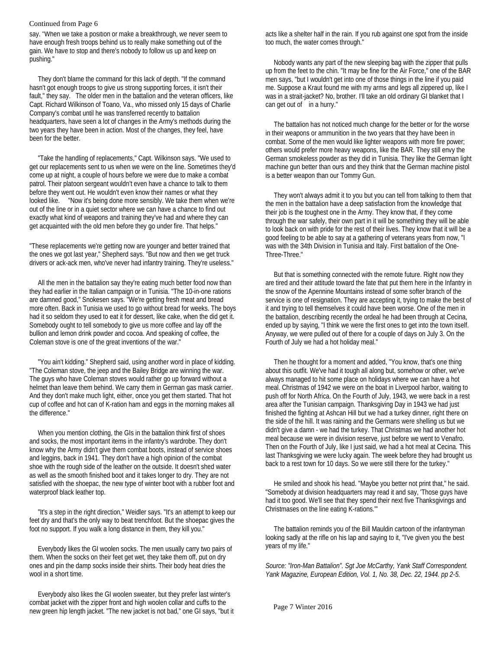#### Continued from Page 6

say. "When we take a position or make a breakthrough, we never seem to have enough fresh troops behind us to really make something out of the gain. We have to stop and there's nobody to follow us up and keep on pushing."

 They don't blame the command for this lack of depth. "If the command hasn't got enough troops to give us strong supporting forces, it isn't their fault," they say. The older men in the battalion and the veteran officers, like Capt. Richard Wilkinson of Toano, Va., who missed only 15 days of Charlie Company's combat until he was transferred recently to battalion headquarters, have seen a lot of changes in the Army's methods during the two years they have been in action. Most of the changes, they feel, have been for the better.

 "Take the handling of replacements," Capt. Wilkinson says. "We used to get our replacements sent to us when we were on the line. Sometimes they'd come up at night, a couple of hours before we were due to make a combat patrol. Their platoon sergeant wouldn't even have a chance to talk to them before they went out. He wouldn't even know their names or what they looked like. "Now it's being done more sensibly. We take them when we're out of the line or in a quiet sector where we can have a chance to find out exactly what kind of weapons and training they've had and where they can get acquainted with the old men before they go under fire. That helps."

"These replacements we're getting now are younger and better trained that the ones we got last year," Shepherd says. "But now and then we get truck drivers or ack-ack men, who've never had infantry training. They're useless."

 All the men in the battalion say they're eating much better food now than they had earlier in the Italian campaign or in Tunisia. "The 10-in-one rations are damned good," Snokesen says. "We're getting fresh meat and bread more often. Back in Tunisia we used to go without bread for weeks. The boys had it so seldom they used to eat it for dessert, like cake, when the did get it. Somebody ought to tell somebody to give us more coffee and lay off the bullion and lemon drink powder and cocoa. And speaking of coffee, the Coleman stove is one of the great inventions of the war."

 "You ain't kidding." Shepherd said, using another word in place of kidding. "The Coleman stove, the jeep and the Bailey Bridge are winning the war. The guys who have Coleman stoves would rather go up forward without a helmet than leave them behind. We carry them in German gas mask carrier. And they don't make much light, either, once you get them started. That hot cup of coffee and hot can of K-ration ham and eggs in the morning makes all the difference."

 When you mention clothing, the GIs in the battalion think first of shoes and socks, the most important items in the infantry's wardrobe. They don't know why the Army didn't give them combat boots, instead of service shoes and leggins, back in 1941. They don't have a high opinion of the combat shoe with the rough side of the leather on the outside. It doesn't shed water as well as the smooth finished boot and it takes longer to dry. They are not satisfied with the shoepac, the new type of winter boot with a rubber foot and waterproof black leather top.

 "It's a step in the right direction," Weidler says. "It's an attempt to keep our feet dry and that's the only way to beat trenchfoot. But the shoepac gives the foot no support. If you walk a long distance in them, they kill you."

 Everybody likes the GI woolen socks. The men usually carry two pairs of them. When the socks on their feet get wet, they take them off, put on dry ones and pin the damp socks inside their shirts. Their body heat dries the wool in a short time.

 Everybody also likes the GI woolen sweater, but they prefer last winter's combat jacket with the zipper front and high woolen collar and cuffs to the new green hip length jacket. "The new jacket is not bad," one GI says, "but it acts like a shelter half in the rain. If you rub against one spot from the inside too much, the water comes through."

 Nobody wants any part of the new sleeping bag with the zipper that pulls up from the feet to the chin. "It may be fine for the Air Force," one of the BAR men says, "but I wouldn't get into one of those things in the line if you paid me. Suppose a Kraut found me with my arms and legs all zippered up, like I was in a strait-jacket? No, brother. I'll take an old ordinary GI blanket that I can get out of in a hurry."

 The battalion has not noticed much change for the better or for the worse in their weapons or ammunition in the two years that they have been in combat. Some of the men would like lighter weapons with more fire power; others would prefer more heavy weapons, like the BAR. They still envy the German smokeless powder as they did in Tunisia. They like the German light machine gun better than ours and they think that the German machine pistol is a better weapon than our Tommy Gun.

 They won't always admit it to you but you can tell from talking to them that the men in the battalion have a deep satisfaction from the knowledge that their job is the toughest one in the Army. They know that, if they come through the war safely, their own part in it will be something they will be able to look back on with pride for the rest of their lives. They know that it will be a good feeling to be able to say at a gathering of veterans years from now, "I was with the 34th Division in Tunisia and Italy. First battalion of the One-Three-Three."

 But that is something connected with the remote future. Right now they are tired and their attitude toward the fate that put them here in the Infantry in the snow of the Apennine Mountains instead of some softer branch of the service is one of resignation. They are accepting it, trying to make the best of it and trying to tell themselves it could have been worse. One of the men in the battalion, describing recently the ordeal he had been through at Cecina, ended up by saying, "I think we were the first ones to get into the town itself. Anyway, we were pulled out of there for a couple of days on July 3. On the Fourth of July we had a hot holiday meal."

 Then he thought for a moment and added, "You know, that's one thing about this outfit. We've had it tough all along but, somehow or other, we've always managed to hit some place on holidays where we can have a hot meal. Christmas of 1942 we were on the boat in Liverpool harbor, waiting to push off for North Africa. On the Fourth of July, 1943, we were back in a rest area after the Tunisian campaign. Thanksgiving Day in 1943 we had just finished the fighting at Ashcan Hill but we had a turkey dinner, right there on the side of the hill. It was raining and the Germans were shelling us but we didn't give a damn - we had the turkey. That Christmas we had another hot meal because we were in division reserve, just before we went to Venafro. Then on the Fourth of July, like I just said, we had a hot meal at Cecina. This last Thanksgiving we were lucky again. The week before they had brought us back to a rest town for 10 days. So we were still there for the turkey."

 He smiled and shook his head. "Maybe you better not print that," he said. "Somebody at division headquarters may read it and say, 'Those guys have had it too good. We'll see that they spend their next five Thanksgivings and Christmases on the line eating K-rations.'"

 The battalion reminds you of the Bill Mauldin cartoon of the infantryman looking sadly at the rifle on his lap and saying to it, "I've given you the best years of my life."

*Source: "Iron-Man Battalion". Sgt Joe McCarthy, Yank Staff Correspondent. Yank Magazine, European Edition, Vol. 1, No. 38, Dec. 22, 1944. pp 2-5.*